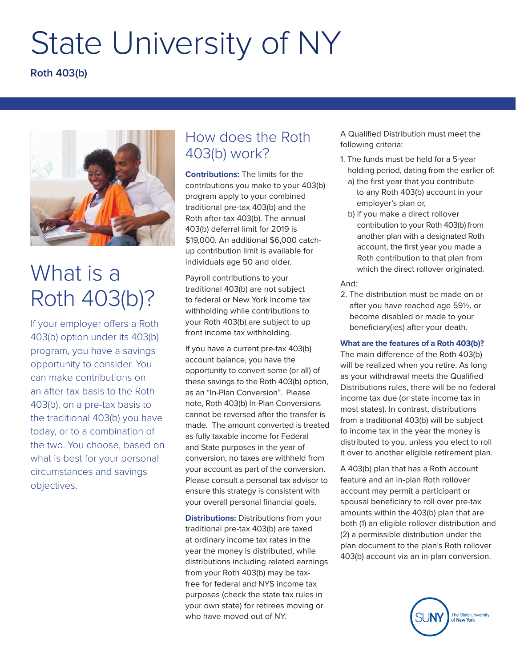# State University of NY

**Roth 403(b)**



## What is a Roth 403(b)?

If your employer offers a Roth 403(b) option under its 403(b) program, you have a savings opportunity to consider. You can make contributions on an after-tax basis to the Roth 403(b), on a pre-tax basis to the traditional 403(b) you have today, or to a combination of the two. You choose, based on what is best for your personal circumstances and savings objectives.

### How does the Roth 403(b) work?

**Contributions:** The limits for the contributions you make to your 403(b) program apply to your combined traditional pre-tax 403(b) and the Roth after-tax 403(b). The annual 403(b) deferral limit for 2019 is \$19,000. An additional \$6,000 catchup contribution limit is available for individuals age 50 and older.

Payroll contributions to your traditional 403(b) are not subject to federal or New York income tax withholding while contributions to your Roth 403(b) are subject to up front income tax withholding.

If you have a current pre-tax 403(b) account balance, you have the opportunity to convert some (or all) of these savings to the Roth 403(b) option, as an "In-Plan Conversion". Please note, Roth 403(b) In-Plan Conversions cannot be reversed after the transfer is made. The amount converted is treated as fully taxable income for Federal and State purposes in the year of conversion, no taxes are withheld from your account as part of the conversion. Please consult a personal tax advisor to ensure this strategy is consistent with your overall personal financial goals.

**Distributions:** Distributions from your traditional pre-tax 403(b) are taxed at ordinary income tax rates in the year the money is distributed, while distributions including related earnings from your Roth 403(b) may be taxfree for federal and NYS income tax purposes (check the state tax rules in your own state) for retirees moving or who have moved out of NY.

A Qualified Distribution must meet the following criteria:

- 1. The funds must be held for a 5-year holding period, dating from the earlier of:
	- a) the first year that you contribute to any Roth 403(b) account in your employer's plan or,
	- b) if you make a direct rollover contribution to your Roth 403(b) from another plan with a designated Roth account, the first year you made a Roth contribution to that plan from which the direct rollover originated.

#### And:

2. The distribution must be made on or after you have reached age 591/2, or become disabled or made to your beneficiary(ies) after your death.

#### **What are the features of a Roth 403(b)?**

The main difference of the Roth 403(b) will be realized when you retire. As long as your withdrawal meets the Qualified Distributions rules, there will be no federal income tax due (or state income tax in most states). In contrast, distributions from a traditional 403(b) will be subject to income tax in the year the money is distributed to you, unless you elect to roll it over to another eligible retirement plan.

A 403(b) plan that has a Roth account feature and an in-plan Roth rollover account may permit a participant or spousal beneficiary to roll over pre-tax amounts within the 403(b) plan that are both (1) an eligible rollover distribution and (2) a permissible distribution under the plan document to the plan's Roth rollover 403(b) account via an in-plan conversion.